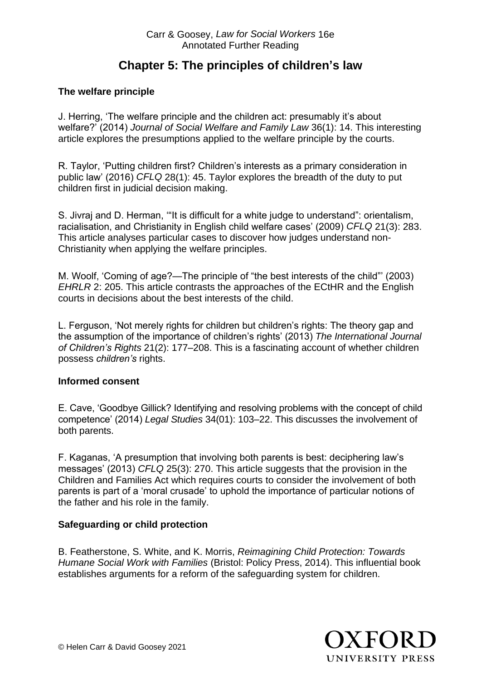## Carr & Goosey, *Law for Social Workers* 16e Annotated Further Reading

# **Chapter 5: The principles of children's law**

## **The welfare principle**

J. Herring, 'The welfare principle and the children act: presumably it's about welfare?' (2014) *Journal of Social Welfare and Family Law* 36(1): 14. This interesting article explores the presumptions applied to the welfare principle by the courts.

R. Taylor, 'Putting children first? Children's interests as a primary consideration in public law' (2016) *CFLQ* 28(1): 45. Taylor explores the breadth of the duty to put children first in judicial decision making.

S. Jivraj and D. Herman, '"It is difficult for a white judge to understand": orientalism, racialisation, and Christianity in English child welfare cases' (2009) *CFLQ* 21(3): 283. This article analyses particular cases to discover how judges understand non-Christianity when applying the welfare principles.

M. Woolf, 'Coming of age?—The principle of "the best interests of the child"' (2003) *EHRLR* 2: 205. This article contrasts the approaches of the ECtHR and the English courts in decisions about the best interests of the child.

L. Ferguson, 'Not merely rights for children but children's rights: The theory gap and the assumption of the importance of children's rights' (2013) *The International Journal of Children's Rights* 21(2): 177–208. This is a fascinating account of whether children possess *children's* rights.

### **Informed consent**

E. Cave, 'Goodbye Gillick? Identifying and resolving problems with the concept of child competence' (2014) *Legal Studies* 34(01): 103–22. This discusses the involvement of both parents.

F. Kaganas, 'A presumption that involving both parents is best: deciphering law's messages' (2013) *CFLQ* 25(3): 270. This article suggests that the provision in the Children and Families Act which requires courts to consider the involvement of both parents is part of a 'moral crusade' to uphold the importance of particular notions of the father and his role in the family.

### **Safeguarding or child protection**

B. Featherstone, S. White, and K. Morris, *Reimagining Child Protection: Towards Humane Social Work with Families* (Bristol: Policy Press, 2014). This influential book establishes arguments for a reform of the safeguarding system for children.